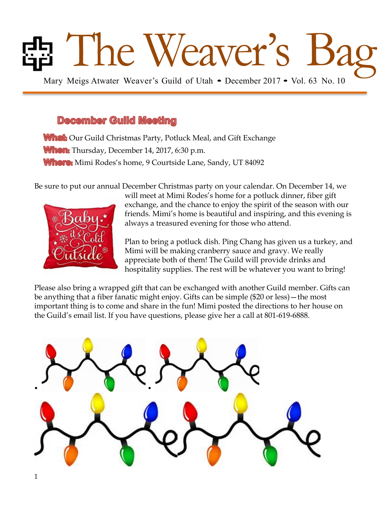# Ed The Weaver's Guild of Utah • December 2017 • Vol. 63 No. 10

#### December Guild Meeting

**What:** Our Guild Christmas Party, Potluck Meal, and Gift Exchange When: Thursday, December 14, 2017, 6:30 p.m. **Where:** Mimi Rodes's home, 9 Courtside Lane, Sandy, UT 84092

Be sure to put our annual December Christmas party on your calendar. On December 14, we



will meet at Mimi Rodes's home for a potluck dinner, fiber gift exchange, and the chance to enjoy the spirit of the season with our friends. Mimi's home is beautiful and inspiring, and this evening is always a treasured evening for those who attend.

Plan to bring a potluck dish. Ping Chang has given us a turkey, and Mimi will be making cranberry sauce and gravy. We really appreciate both of them! The Guild will provide drinks and hospitality supplies. The rest will be whatever you want to bring!

Please also bring a wrapped gift that can be exchanged with another Guild member. Gifts can be anything that a fiber fanatic might enjoy. Gifts can be simple (\$20 or less)—the most important thing is to come and share in the fun! Mimi posted the directions to her house on the Guild's email list. If you have questions, please give her a call at 801-619-6888.

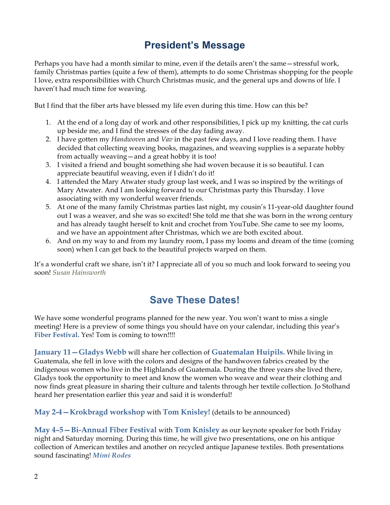# **President's Message**

Perhaps you have had a month similar to mine, even if the details aren't the same—stressful work, family Christmas parties (quite a few of them), attempts to do some Christmas shopping for the people I love, extra responsibilities with Church Christmas music, and the general ups and downs of life. I haven't had much time for weaving.

But I find that the fiber arts have blessed my life even during this time. How can this be?

- 1. At the end of a long day of work and other responsibilities, I pick up my knitting, the cat curls up beside me, and I find the stresses of the day fading away.
- 2. I have gotten my *Handwoven* and *Vav* in the past few days, and I love reading them. I have decided that collecting weaving books, magazines, and weaving supplies is a separate hobby from actually weaving—and a great hobby it is too!
- 3. I visited a friend and bought something she had woven because it is so beautiful. I can appreciate beautiful weaving, even if I didn't do it!
- 4. I attended the Mary Atwater study group last week, and I was so inspired by the writings of Mary Atwater. And I am looking forward to our Christmas party this Thursday. I love associating with my wonderful weaver friends.
- 5. At one of the many family Christmas parties last night, my cousin's 11-year-old daughter found out I was a weaver, and she was so excited! She told me that she was born in the wrong century and has already taught herself to knit and crochet from YouTube. She came to see my looms, and we have an appointment after Christmas, which we are both excited about.
- 6. And on my way to and from my laundry room, I pass my looms and dream of the time (coming soon) when I can get back to the beautiful projects warped on them.

It's a wonderful craft we share, isn't it? I appreciate all of you so much and look forward to seeing you soon! *Susan Hainsworth*

### **Save These Dates!**

We have some wonderful programs planned for the new year. You won't want to miss a single meeting! Here is a preview of some things you should have on your calendar, including this year's Fiber Festival. Yes! Tom is coming to town!!!!

**January 11—Gladys Webb** will share her collection of **Guatemalan Huipils.** While living in Guatemala, she fell in love with the colors and designs of the handwoven fabrics created by the indigenous women who live in the Highlands of Guatemala. During the three years she lived there, Gladys took the opportunity to meet and know the women who weave and wear their clothing and now finds great pleasure in sharing their culture and talents through her textile collection. Jo Stolhand heard her presentation earlier this year and said it is wonderful!

**May 2-4—Krokbragd workshop** with **Tom Knisley!** (details to be announced)

**May 4–5—Bi-Annual Fiber Festival** with **Tom Knisley** as our keynote speaker for both Friday night and Saturday morning. During this time, he will give two presentations, one on his antique collection of American textiles and another on recycled antique Japanese textiles. Both presentations sound fascinating! *Mimi Rodes*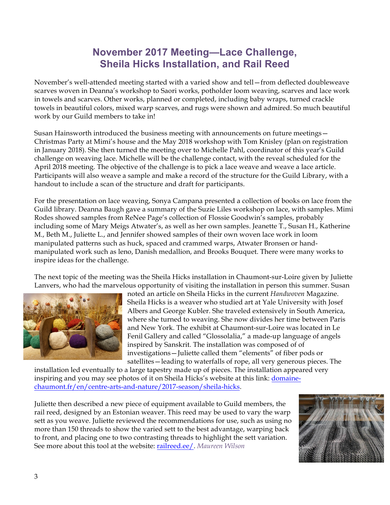### **November 2017 Meeting—Lace Challenge, Sheila Hicks Installation, and Rail Reed**

November's well-attended meeting started with a varied show and tell—from deflected doubleweave scarves woven in Deanna's workshop to Saori works, potholder loom weaving, scarves and lace work in towels and scarves. Other works, planned or completed, including baby wraps, turned crackle towels in beautiful colors, mixed warp scarves, and rugs were shown and admired. So much beautiful work by our Guild members to take in!

Susan Hainsworth introduced the business meeting with announcements on future meetings— Christmas Party at Mimi's house and the May 2018 workshop with Tom Knisley (plan on registration in January 2018). She then turned the meeting over to Michelle Pahl, coordinator of this year's Guild challenge on weaving lace. Michelle will be the challenge contact, with the reveal scheduled for the April 2018 meeting. The objective of the challenge is to pick a lace weave and weave a lace article. Participants will also weave a sample and make a record of the structure for the Guild Library, with a handout to include a scan of the structure and draft for participants.

For the presentation on lace weaving, Sonya Campana presented a collection of books on lace from the Guild library. Deanna Baugh gave a summary of the Suzie Liles workshop on lace, with samples. Mimi Rodes showed samples from ReNee Page's collection of Flossie Goodwin's samples, probably including some of Mary Meigs Atwater's, as well as her own samples. Jeanette T., Susan H., Katherine M., Beth M., Juliette L., and Jennifer showed samples of their own woven lace work in loom manipulated patterns such as huck, spaced and crammed warps, Atwater Bronsen or handmanipulated work such as leno, Danish medallion, and Brooks Bouquet. There were many works to inspire ideas for the challenge.

The next topic of the meeting was the Sheila Hicks installation in Chaumont-sur-Loire given by Juliette Lanvers, who had the marvelous opportunity of visiting the installation in person this summer. Susan



noted an article on Sheila Hicks in the current *Handwoven* Magazine. Sheila Hicks is a weaver who studied art at Yale University with Josef Albers and George Kubler. She traveled extensively in South America, where she turned to weaving. She now divides her time between Paris and New York. The exhibit at Chaumont-sur-Loire was located in Le Fenil Gallery and called "Glossolalia," a made-up language of angels inspired by Sanskrit. The installation was composed of of investigations—Juliette called them "elements" of fiber pods or satellites—leading to waterfalls of rope, all very generous pieces. The

installation led eventually to a large tapestry made up of pieces. The installation appeared very inspiring and you may see photos of it on Sheila Hicks's website at this link: domainechaumont.fr/en/centre-arts-and-nature/2017-season/sheila-hicks.

Juliette then described a new piece of equipment available to Guild members, the rail reed, designed by an Estonian weaver. This reed may be used to vary the warp sett as you weave. Juliette reviewed the recommendations for use, such as using no more than 150 threads to show the varied sett to the best advantage, warping back to front, and placing one to two contrasting threads to highlight the sett variation. See more about this tool at the website: railreed.ee/. *Maureen Wilson*

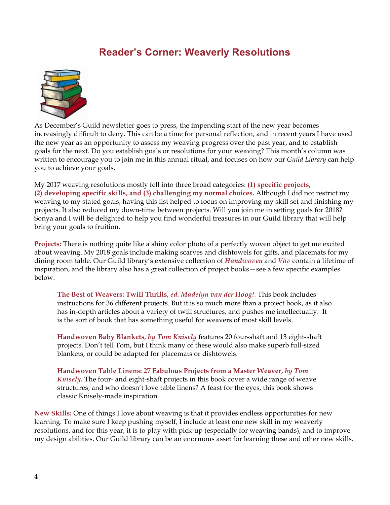#### **Reader's Corner: Weaverly Resolutions**



As December's Guild newsletter goes to press, the impending start of the new year becomes increasingly difficult to deny. This can be a time for personal reflection, and in recent years I have used the new year as an opportunity to assess my weaving progress over the past year, and to establish goals for the next. Do you establish goals or resolutions for your weaving? This month's column was written to encourage you to join me in this annual ritual, and focuses on how our *Guild Library* can help you to achieve your goals.

My 2017 weaving resolutions mostly fell into three broad categories: **(1) specific projects, (2) developing specific skills, and (3) challenging my normal choices.** Although I did not restrict my weaving to my stated goals, having this list helped to focus on improving my skill set and finishing my projects. It also reduced my down-time between projects. Will you join me in setting goals for 2018? Sonya and I will be delighted to help you find wonderful treasures in our Guild library that will help bring your goals to fruition.

**Projects:** There is nothing quite like a shiny color photo of a perfectly woven object to get me excited about weaving. My 2018 goals include making scarves and dishtowels for gifts, and placemats for my dining room table. Our Guild library's extensive collection of *Handwoven* and *Väv* contain a lifetime of inspiration, and the library also has a great collection of project books—see a few specific examples below.

**The Best of Weavers: Twill Thrills,** *ed. Madelyn van der Hoogt.* This book includes instructions for 36 different projects. But it is so much more than a project book, as it also has in-depth articles about a variety of twill structures, and pushes me intellectually. It is the sort of book that has something useful for weavers of most skill levels.

**Handwoven Baby Blankets,** *by Tom Knisely* features 20 four-shaft and 13 eight-shaft projects. Don't tell Tom, but I think many of these would also make superb full-sized blankets, or could be adapted for placemats or dishtowels.

**Handwoven Table Linens: 27 Fabulous Projects from a Master Weaver,** *by Tom Knisely***.** The four- and eight-shaft projects in this book cover a wide range of weave structures, and who doesn't love table linens? A feast for the eyes, this book shows classic Knisely-made inspiration.

**New Skills:** One of things I love about weaving is that it provides endless opportunities for new learning. To make sure I keep pushing myself, I include at least one new skill in my weaverly resolutions, and for this year, it is to play with pick-up (especially for weaving bands), and to improve my design abilities. Our Guild library can be an enormous asset for learning these and other new skills.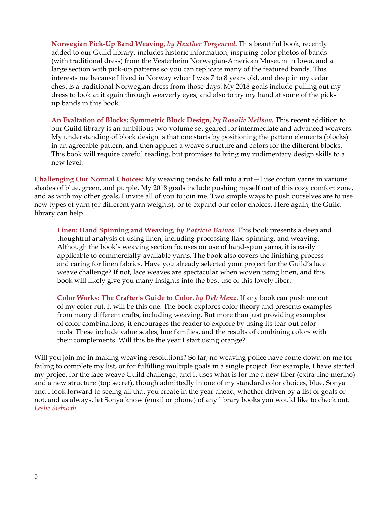**Norwegian Pick-Up Band Weaving,** *by Heather Torgenrud***.** This beautiful book, recently added to our Guild library, includes historic information, inspiring color photos of bands (with traditional dress) from the Vesterheim Norwegian-American Museum in Iowa, and a large section with pick-up patterns so you can replicate many of the featured bands. This interests me because I lived in Norway when I was 7 to 8 years old, and deep in my cedar chest is a traditional Norwegian dress from those days. My 2018 goals include pulling out my dress to look at it again through weaverly eyes, and also to try my hand at some of the pickup bands in this book.

**An Exaltation of Blocks: Symmetric Block Design,** *by Rosalie Neilson.* This recent addition to our Guild library is an ambitious two-volume set geared for intermediate and advanced weavers. My understanding of block design is that one starts by positioning the pattern elements (blocks) in an agreeable pattern, and then applies a weave structure and colors for the different blocks. This book will require careful reading, but promises to bring my rudimentary design skills to a new level.

**Challenging Our Normal Choices:** My weaving tends to fall into a rut—I use cotton yarns in various shades of blue, green, and purple. My 2018 goals include pushing myself out of this cozy comfort zone, and as with my other goals, I invite all of you to join me. Two simple ways to push ourselves are to use new types of yarn (or different yarn weights), or to expand our color choices. Here again, the Guild library can help.

**Linen: Hand Spinning and Weaving,** *by Patricia Baines.* This book presents a deep and thoughtful analysis of using linen, including processing flax, spinning, and weaving. Although the book's weaving section focuses on use of hand-spun yarns, it is easily applicable to commercially-available yarns. The book also covers the finishing process and caring for linen fabrics. Have you already selected your project for the Guild's lace weave challenge? If not, lace weaves are spectacular when woven using linen, and this book will likely give you many insights into the best use of this lovely fiber.

**Color Works: The Crafter's Guide to Color,** *by Deb Menz***.** If any book can push me out of my color rut, it will be this one. The book explores color theory and presents examples from many different crafts, including weaving. But more than just providing examples of color combinations, it encourages the reader to explore by using its tear-out color tools. These include value scales, hue families, and the results of combining colors with their complements. Will this be the year I start using orange?

Will you join me in making weaving resolutions? So far, no weaving police have come down on me for failing to complete my list, or for fulfilling multiple goals in a single project. For example, I have started my project for the lace weave Guild challenge, and it uses what is for me a new fiber (extra-fine merino) and a new structure (top secret), though admittedly in one of my standard color choices, blue. Sonya and I look forward to seeing all that you create in the year ahead, whether driven by a list of goals or not, and as always, let Sonya know (email or phone) of any library books you would like to check out. *Leslie Sieburth*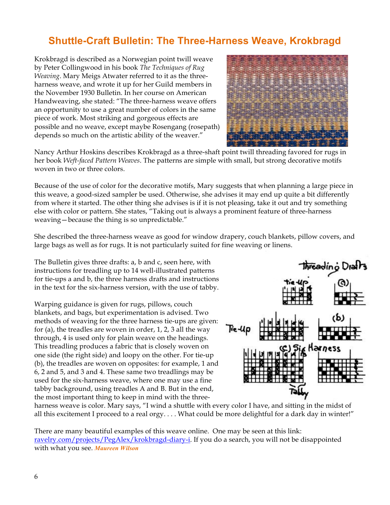## **Shuttle-Craft Bulletin: The Three-Harness Weave, Krokbragd**

Krokbragd is described as a Norwegian point twill weave by Peter Collingwood in his book *The Techniques of Rug Weaving*. Mary Meigs Atwater referred to it as the threeharness weave, and wrote it up for her Guild members in the November 1930 Bulletin. In her course on American Handweaving, she stated: "The three-harness weave offers an opportunity to use a great number of colors in the same piece of work. Most striking and gorgeous effects are possible and no weave, except maybe Rosengang (rosepath) depends so much on the artistic ability of the weaver."



Nancy Arthur Hoskins describes Krokbragd as a three-shaft point twill threading favored for rugs in her book *Weft-faced Pattern Weaves*. The patterns are simple with small, but strong decorative motifs woven in two or three colors.

Because of the use of color for the decorative motifs, Mary suggests that when planning a large piece in this weave, a good-sized sampler be used. Otherwise, she advises it may end up quite a bit differently from where it started. The other thing she advises is if it is not pleasing, take it out and try something else with color or pattern. She states, "Taking out is always a prominent feature of three-harness weaving—because the thing is so unpredictable."

She described the three-harness weave as good for window drapery, couch blankets, pillow covers, and large bags as well as for rugs. It is not particularly suited for fine weaving or linens.

The Bulletin gives three drafts: a, b and c, seen here, with instructions for treadling up to 14 well-illustrated patterns for tie-ups a and b, the three harness drafts and instructions in the text for the six-harness version, with the use of tabby.

Warping guidance is given for rugs, pillows, couch blankets, and bags, but experimentation is advised. Two methods of weaving for the three harness tie-ups are given: for (a), the treadles are woven in order, 1, 2, 3 all the way through, 4 is used only for plain weave on the headings. This treadling produces a fabric that is closely woven on one side (the right side) and loopy on the other. For tie-up (b), the treadles are woven on opposites: for example, 1 and 6, 2 and 5, and 3 and 4. These same two treadlings may be used for the six-harness weave, where one may use a fine tabby background, using treadles A and B. But in the end, the most important thing to keep in mind with the three-



harness weave is color. Mary says, "I wind a shuttle with every color I have, and sitting in the midst of all this excitement I proceed to a real orgy. . . . What could be more delightful for a dark day in winter!"

There are many beautiful examples of this weave online. One may be seen at this link: ravelry.com/projects/PegAlex/krokbragd-diary-i. If you do a search, you will not be disappointed with what you see. *Maureen Wilson*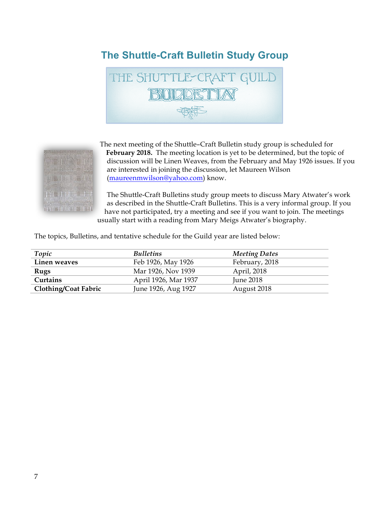# **The Shuttle-Craft Bulletin Study Group**





The next meeting of the Shuttle–Craft Bulletin study group is scheduled for **February 2018.** The meeting location is yet to be determined, but the topic of discussion will be Linen Weaves, from the February and May 1926 issues. If you are interested in joining the discussion, let Maureen Wilson (maureenmwilson@yahoo.com) know.

The Shuttle-Craft Bulletins study group meets to discuss Mary Atwater's work as described in the Shuttle-Craft Bulletins. This is a very informal group. If you have not participated, try a meeting and see if you want to join. The meetings usually start with a reading from Mary Meigs Atwater's biography.

The topics, Bulletins, and tentative schedule for the Guild year are listed below:

| Topic                       | <b>Bulletins</b>     | <b>Meeting Dates</b> |
|-----------------------------|----------------------|----------------------|
| Linen weaves                | Feb 1926, May 1926   | February, 2018       |
| Rugs                        | Mar 1926, Nov 1939   | April, 2018          |
| Curtains                    | April 1926, Mar 1937 | June 2018            |
| <b>Clothing/Coat Fabric</b> | June 1926, Aug 1927  | August 2018          |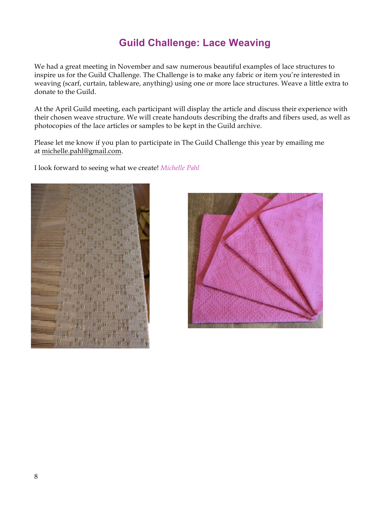# **Guild Challenge: Lace Weaving**

We had a great meeting in November and saw numerous beautiful examples of lace structures to inspire us for the Guild Challenge. The Challenge is to make any fabric or item you're interested in weaving (scarf, curtain, tableware, anything) using one or more lace structures. Weave a little extra to donate to the Guild.

At the April Guild meeting, each participant will display the article and discuss their experience with their chosen weave structure. We will create handouts describing the drafts and fibers used, as well as photocopies of the lace articles or samples to be kept in the Guild archive.

Please let me know if you plan to participate in The Guild Challenge this year by emailing me at michelle.pahl@gmail.com.

I look forward to seeing what we create! *Michelle Pahl*